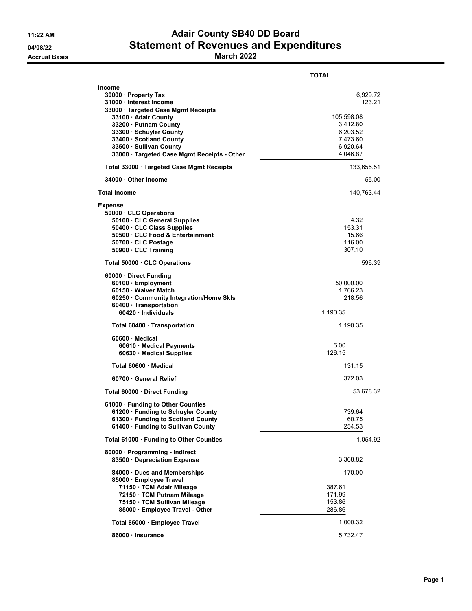## 11:22 AM **Adair County SB40 DD Board** 04/08/22 Statement of Revenues and Expenditures

Accrual Basis **March 2022** 

|                                                                                                                                                                                                                                                                                      | <b>TOTAL</b>                                                                                 |
|--------------------------------------------------------------------------------------------------------------------------------------------------------------------------------------------------------------------------------------------------------------------------------------|----------------------------------------------------------------------------------------------|
| <b>Income</b><br>30000 · Property Tax<br>31000 · Interest Income<br>33000 · Targeted Case Mgmt Receipts<br>33100 · Adair County<br>33200 Putnam County<br>33300 Schuyler County<br>33400 · Scotland County<br>33500 · Sullivan County<br>33000 · Targeted Case Mgmt Receipts - Other | 6,929.72<br>123.21<br>105,598.08<br>3,412.80<br>6,203.52<br>7,473.60<br>6,920.64<br>4,046.87 |
| Total 33000 · Targeted Case Mgmt Receipts                                                                                                                                                                                                                                            | 133,655.51                                                                                   |
| 34000 Other Income                                                                                                                                                                                                                                                                   | 55.00                                                                                        |
| <b>Total Income</b>                                                                                                                                                                                                                                                                  | 140,763.44                                                                                   |
| <b>Expense</b><br>50000 · CLC Operations<br>50100 CLC General Supplies<br>50400 · CLC Class Supplies<br>50500 CLC Food & Entertainment<br>50700 · CLC Postage<br>50900 CLC Training                                                                                                  | 4.32<br>153.31<br>15.66<br>116.00<br>307.10                                                  |
| Total 50000 · CLC Operations                                                                                                                                                                                                                                                         | 596.39                                                                                       |
| 60000 Direct Funding<br>60100 · Employment<br>60150 · Waiver Match<br>60250 Community Integration/Home Skls<br>60400 · Transportation<br>60420 · Individuals                                                                                                                         | 50,000.00<br>1,766.23<br>218.56<br>1,190.35                                                  |
| Total 60400 · Transportation                                                                                                                                                                                                                                                         | 1,190.35                                                                                     |
| 60600 Medical<br>60610 · Medical Payments<br>60630 Medical Supplies                                                                                                                                                                                                                  | 5.00<br>126.15                                                                               |
| Total 60600 · Medical                                                                                                                                                                                                                                                                | 131.15                                                                                       |
| 60700 General Relief                                                                                                                                                                                                                                                                 | 372.03                                                                                       |
| Total 60000 · Direct Funding                                                                                                                                                                                                                                                         | 53,678.32                                                                                    |
| 61000 · Funding to Other Counties<br>61200 · Funding to Schuyler County<br>61300 · Funding to Scotland County<br>61400 · Funding to Sullivan County                                                                                                                                  | 739.64<br>60.75<br>254.53                                                                    |
| Total 61000 · Funding to Other Counties                                                                                                                                                                                                                                              | 1,054.92                                                                                     |
| 80000 · Programming - Indirect<br>83500 · Depreciation Expense                                                                                                                                                                                                                       | 3,368.82                                                                                     |
| 84000 Dues and Memberships<br>85000 · Employee Travel<br>71150 · TCM Adair Mileage<br>72150 · TCM Putnam Mileage<br>75150 TCM Sullivan Mileage<br>85000 · Employee Travel - Other                                                                                                    | 170.00<br>387.61<br>171.99<br>153.86<br>286.86                                               |
| Total 85000 · Employee Travel                                                                                                                                                                                                                                                        | 1,000.32                                                                                     |
| 86000 · Insurance                                                                                                                                                                                                                                                                    | 5,732.47                                                                                     |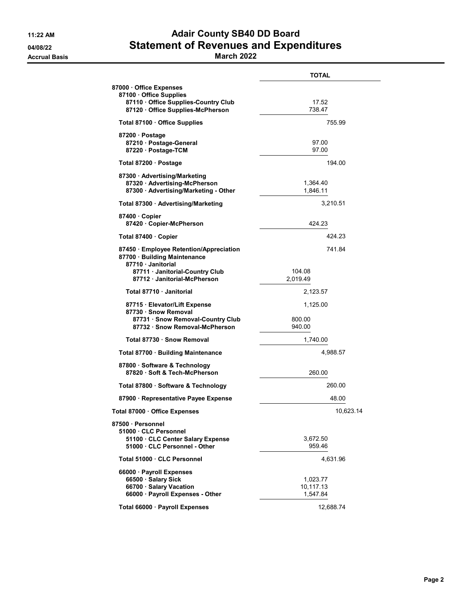## 11:22 AM **Adair County SB40 DD Board** 04/08/22 Statement of Revenues and Expenditures

Accrual Basis **March 2022** 

|                                                                                                                              | <b>TOTAL</b>                      |
|------------------------------------------------------------------------------------------------------------------------------|-----------------------------------|
| 87000 Office Expenses                                                                                                        |                                   |
| 87100 · Office Supplies<br>87110 Office Supplies-Country Club<br>87120 Office Supplies-McPherson                             | 17.52<br>738.47                   |
| Total 87100 · Office Supplies                                                                                                | 755.99                            |
| 87200 · Postage<br>87210 · Postage-General<br>87220 · Postage-TCM                                                            | 97.00<br>97.00                    |
| Total 87200 · Postage                                                                                                        | 194.00                            |
| 87300 · Advertising/Marketing<br>87320 Advertising-McPherson<br>87300 · Advertising/Marketing - Other                        | 1,364.40<br>1,846.11              |
| Total 87300 · Advertising/Marketing                                                                                          | 3,210.51                          |
| 87400 Copier<br>87420 Copier-McPherson                                                                                       | 424.23                            |
| Total 87400 Copier                                                                                                           | 424.23                            |
| 87450 Employee Retention/Appreciation<br>87700 · Building Maintenance<br>87710 Janitorial                                    | 741.84                            |
| 87711 · Janitorial-Country Club<br>87712 Janitorial-McPherson                                                                | 104.08<br>2,019.49                |
| Total 87710 · Janitorial                                                                                                     | 2,123.57                          |
| 87715 · Elevator/Lift Expense<br>87730 · Snow Removal<br>87731 · Snow Removal-Country Club<br>87732 · Snow Removal-McPherson | 1,125.00<br>800.00<br>940.00      |
| Total 87730 · Snow Removal                                                                                                   | 1,740.00                          |
| Total 87700 · Building Maintenance                                                                                           | 4,988.57                          |
| 87800 · Software & Technology<br>87820 · Soft & Tech-McPherson                                                               | 260.00                            |
| Total 87800 · Software & Technology                                                                                          | 260.00                            |
| 87900 · Representative Payee Expense                                                                                         | 48.00                             |
| Total 87000 · Office Expenses                                                                                                | 10,623.14                         |
| 87500 · Personnel<br>51000 CLC Personnel<br>51100 · CLC Center Salary Expense<br>51000 · CLC Personnel - Other               | 3,672.50<br>959.46                |
| Total 51000 · CLC Personnel                                                                                                  | 4,631.96                          |
| 66000 · Payroll Expenses<br>66500 · Salary Sick<br>66700 · Salary Vacation<br>66000 · Payroll Expenses - Other               | 1,023.77<br>10,117.13<br>1,547.84 |
| Total 66000 · Payroll Expenses                                                                                               | 12,688.74                         |